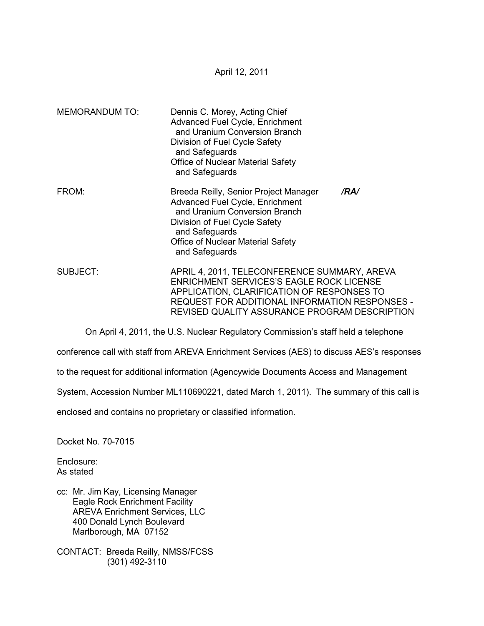April 12, 2011

| <b>MEMORANDUM TO:</b> | Dennis C. Morey, Acting Chief<br>Advanced Fuel Cycle, Enrichment<br>and Uranium Conversion Branch<br>Division of Fuel Cycle Safety<br>and Safeguards<br>Office of Nuclear Material Safety<br>and Safeguards                                      |
|-----------------------|--------------------------------------------------------------------------------------------------------------------------------------------------------------------------------------------------------------------------------------------------|
| FROM:                 | Breeda Reilly, Senior Project Manager<br>/RA/<br><b>Advanced Fuel Cycle, Enrichment</b><br>and Uranium Conversion Branch<br>Division of Fuel Cycle Safety<br>and Safeguards<br><b>Office of Nuclear Material Safety</b><br>and Safeguards        |
| SUBJECT:              | APRIL 4, 2011, TELECONFERENCE SUMMARY, AREVA<br><b>ENRICHMENT SERVICES'S EAGLE ROCK LICENSE</b><br>APPLICATION, CLARIFICATION OF RESPONSES TO<br>REQUEST FOR ADDITIONAL INFORMATION RESPONSES -<br>REVISED QUALITY ASSURANCE PROGRAM DESCRIPTION |

On April 4, 2011, the U.S. Nuclear Regulatory Commission's staff held a telephone

conference call with staff from AREVA Enrichment Services (AES) to discuss AES's responses

to the request for additional information (Agencywide Documents Access and Management

System, Accession Number ML110690221, dated March 1, 2011). The summary of this call is

enclosed and contains no proprietary or classified information.

Docket No. 70-7015

Enclosure: As stated

cc: Mr. Jim Kay, Licensing Manager Eagle Rock Enrichment Facility AREVA Enrichment Services, LLC 400 Donald Lynch Boulevard Marlborough, MA 07152

CONTACT: Breeda Reilly, NMSS/FCSS (301) 492-3110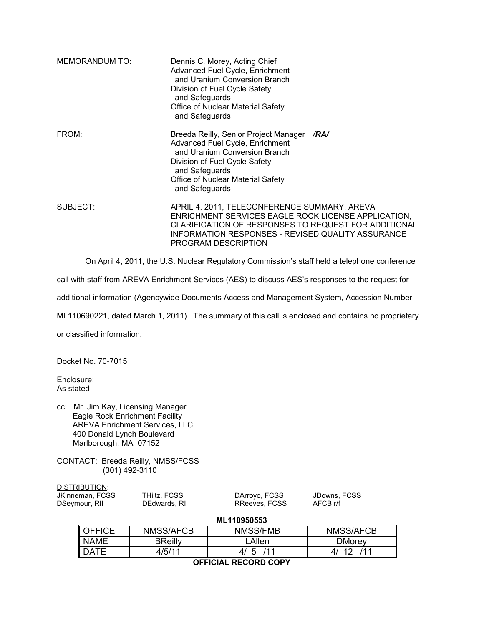| <b>MEMORANDUM TO:</b> | Dennis C. Morey, Acting Chief<br>Advanced Fuel Cycle, Enrichment<br>and Uranium Conversion Branch<br>Division of Fuel Cycle Safety<br>and Safeguards<br>Office of Nuclear Material Safety<br>and Safeguards                                    |  |
|-----------------------|------------------------------------------------------------------------------------------------------------------------------------------------------------------------------------------------------------------------------------------------|--|
| FROM:                 | Breeda Reilly, Senior Project Manager<br>/RA/<br>Advanced Fuel Cycle, Enrichment<br>and Uranium Conversion Branch<br>Division of Fuel Cycle Safety<br>and Safeguards<br>Office of Nuclear Material Safety<br>and Safeguards                    |  |
| SUBJECT:              | APRIL 4, 2011, TELECONFERENCE SUMMARY, AREVA<br>ENRICHMENT SERVICES EAGLE ROCK LICENSE APPLICATION,<br><b>CLARIFICATION OF RESPONSES TO REQUEST FOR ADDITIONAL</b><br>INFORMATION RESPONSES - REVISED QUALITY ASSURANCE<br>PROGRAM DESCRIPTION |  |

On April 4, 2011, the U.S. Nuclear Regulatory Commission's staff held a telephone conference

call with staff from AREVA Enrichment Services (AES) to discuss AES's responses to the request for

additional information (Agencywide Documents Access and Management System, Accession Number

ML110690221, dated March 1, 2011). The summary of this call is enclosed and contains no proprietary

or classified information.

Docket No. 70-7015

Enclosure: As stated

cc: Mr. Jim Kay, Licensing Manager Eagle Rock Enrichment Facility AREVA Enrichment Services, LLC 400 Donald Lynch Boulevard Marlborough, MA 07152

CONTACT: Breeda Reilly, NMSS/FCSS (301) 492-3110

DISTRIBUTION:<br>JKinneman, FCS

| JKinneman, FCSS | THiltz, FCSS  | DArroyo, FCSS | JDowns, FCSS |
|-----------------|---------------|---------------|--------------|
| DSeymour, RII   | DEdwards, RII | RReeves, FCSS | AFCB r/f     |
|                 |               |               |              |

#### **ML110950553**

| OEEICE          | <b>NMSS/AFCB</b> | NMSS/FMB        | NMSS/AFCB     |  |
|-----------------|------------------|-----------------|---------------|--|
| <b>NAME</b>     | <b>BReilly</b>   | _Allen          | <b>DMorey</b> |  |
| <b>DATE</b>     | 4/5/11           | 111<br>-5<br>41 | 111           |  |
| _ _ _ _ _ _ _ _ |                  |                 |               |  |

**OFFICIAL RECORD COPY**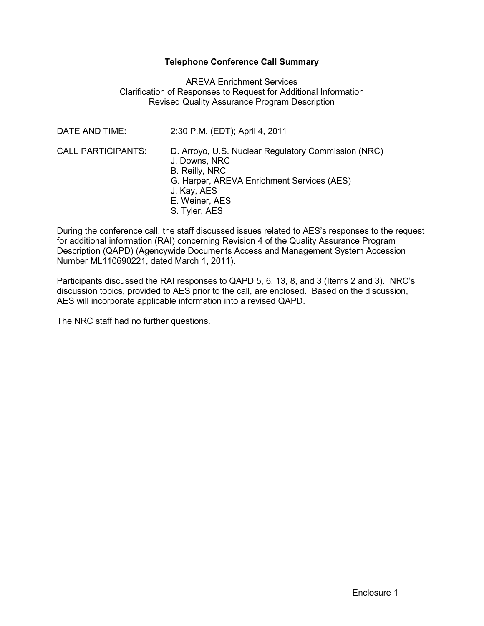## **Telephone Conference Call Summary**

### AREVA Enrichment Services Clarification of Responses to Request for Additional Information Revised Quality Assurance Program Description

| DATE AND TIME:            | 2:30 P.M. (EDT); April 4, 2011                                                                                                                                                                |
|---------------------------|-----------------------------------------------------------------------------------------------------------------------------------------------------------------------------------------------|
| <b>CALL PARTICIPANTS:</b> | D. Arroyo, U.S. Nuclear Regulatory Commission (NRC)<br>J. Downs, NRC<br><b>B. Reilly, NRC</b><br>G. Harper, AREVA Enrichment Services (AES)<br>J. Kay, AES<br>E. Weiner, AES<br>S. Tyler, AES |

During the conference call, the staff discussed issues related to AES's responses to the request for additional information (RAI) concerning Revision 4 of the Quality Assurance Program Description (QAPD) (Agencywide Documents Access and Management System Accession Number ML110690221, dated March 1, 2011).

Participants discussed the RAI responses to QAPD 5, 6, 13, 8, and 3 (Items 2 and 3). NRC's discussion topics, provided to AES prior to the call, are enclosed. Based on the discussion, AES will incorporate applicable information into a revised QAPD.

The NRC staff had no further questions.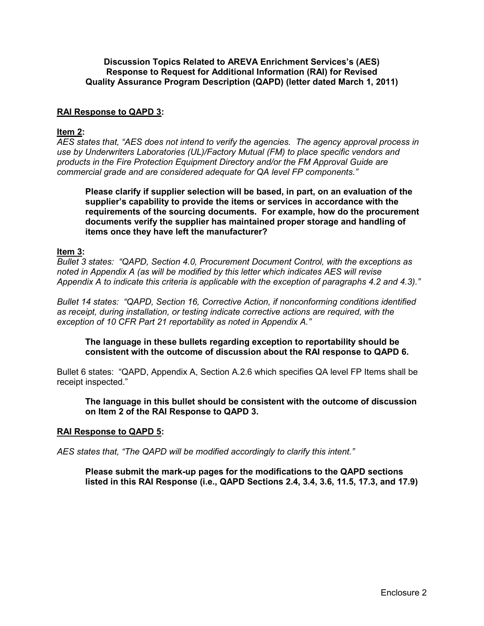#### **Discussion Topics Related to AREVA Enrichment Services's (AES) Response to Request for Additional Information (RAI) for Revised Quality Assurance Program Description (QAPD) (letter dated March 1, 2011)**

### **RAI Response to QAPD 3:**

#### **Item 2:**

*AES states that, "AES does not intend to verify the agencies. The agency approval process in use by Underwriters Laboratories (UL)/Factory Mutual (FM) to place specific vendors and products in the Fire Protection Equipment Directory and/or the FM Approval Guide are commercial grade and are considered adequate for QA level FP components."* 

**Please clarify if supplier selection will be based, in part, on an evaluation of the supplier's capability to provide the items or services in accordance with the requirements of the sourcing documents. For example, how do the procurement documents verify the supplier has maintained proper storage and handling of items once they have left the manufacturer?** 

#### **Item 3:**

*Bullet 3 states: "QAPD, Section 4.0, Procurement Document Control, with the exceptions as noted in Appendix A (as will be modified by this letter which indicates AES will revise Appendix A to indicate this criteria is applicable with the exception of paragraphs 4.2 and 4.3)."* 

*Bullet 14 states: "QAPD, Section 16, Corrective Action, if nonconforming conditions identified as receipt, during installation, or testing indicate corrective actions are required, with the exception of 10 CFR Part 21 reportability as noted in Appendix A."* 

**The language in these bullets regarding exception to reportability should be consistent with the outcome of discussion about the RAI response to QAPD 6.** 

Bullet 6 states: "QAPD, Appendix A, Section A.2.6 which specifies QA level FP Items shall be receipt inspected."

**The language in this bullet should be consistent with the outcome of discussion on Item 2 of the RAI Response to QAPD 3.** 

#### **RAI Response to QAPD 5:**

*AES states that, "The QAPD will be modified accordingly to clarify this intent."* 

**Please submit the mark-up pages for the modifications to the QAPD sections listed in this RAI Response (i.e., QAPD Sections 2.4, 3.4, 3.6, 11.5, 17.3, and 17.9)**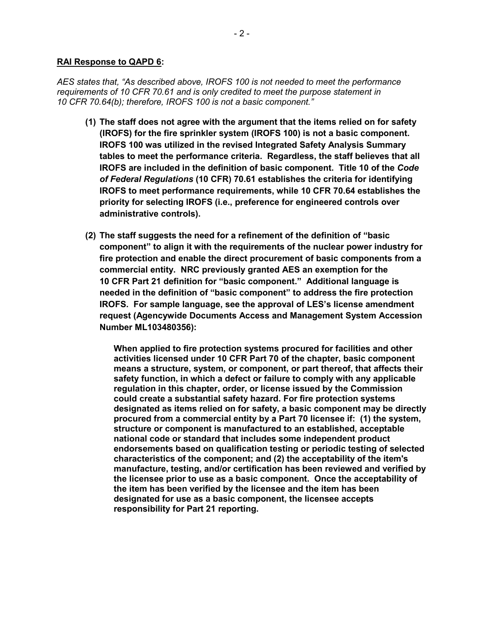#### **RAI Response to QAPD 6:**

*AES states that, "As described above, IROFS 100 is not needed to meet the performance requirements of 10 CFR 70.61 and is only credited to meet the purpose statement in 10 CFR 70.64(b); therefore, IROFS 100 is not a basic component."* 

- **(1) The staff does not agree with the argument that the items relied on for safety (IROFS) for the fire sprinkler system (IROFS 100) is not a basic component. IROFS 100 was utilized in the revised Integrated Safety Analysis Summary tables to meet the performance criteria. Regardless, the staff believes that all IROFS are included in the definition of basic component. Title 10 of the** *Code of Federal Regulations* **(10 CFR) 70.61 establishes the criteria for identifying IROFS to meet performance requirements, while 10 CFR 70.64 establishes the priority for selecting IROFS (i.e., preference for engineered controls over administrative controls).**
- **(2) The staff suggests the need for a refinement of the definition of "basic component" to align it with the requirements of the nuclear power industry for fire protection and enable the direct procurement of basic components from a commercial entity. NRC previously granted AES an exemption for the 10 CFR Part 21 definition for "basic component." Additional language is needed in the definition of "basic component" to address the fire protection IROFS. For sample language, see the approval of LES's license amendment request (Agencywide Documents Access and Management System Accession Number ML103480356):**

**When applied to fire protection systems procured for facilities and other activities licensed under 10 CFR Part 70 of the chapter, basic component means a structure, system, or component, or part thereof, that affects their safety function, in which a defect or failure to comply with any applicable regulation in this chapter, order, or license issued by the Commission could create a substantial safety hazard. For fire protection systems designated as items relied on for safety, a basic component may be directly procured from a commercial entity by a Part 70 licensee if: (1) the system, structure or component is manufactured to an established, acceptable national code or standard that includes some independent product endorsements based on qualification testing or periodic testing of selected characteristics of the component; and (2) the acceptability of the item's manufacture, testing, and/or certification has been reviewed and verified by the licensee prior to use as a basic component. Once the acceptability of the item has been verified by the licensee and the item has been designated for use as a basic component, the licensee accepts responsibility for Part 21 reporting.**